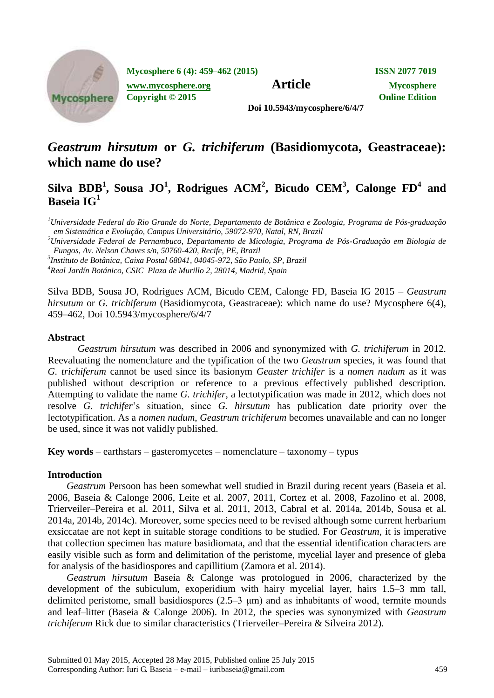

**Mycosphere 6 (4): 459–462 (2015) ISSN 2077 7019**

*[www.mycosphere.org](http://www.mycosphere.org/)* **<b>Article Mycosphere** 

**Copyright © 2015 Online Edition**

**Doi 10.5943/mycosphere/6/4/7**

# *Geastrum hirsutum* **or** *G. trichiferum* **(Basidiomycota, Geastraceae): which name do use?**

## **Silva BDB<sup>1</sup> , Sousa JO<sup>1</sup> , Rodrigues ACM<sup>2</sup> , Bicudo CEM<sup>3</sup> , Calonge FD<sup>4</sup> and Baseia IG<sup>1</sup>**

*<sup>1</sup>Universidade Federal do Rio Grande do Norte, Departamento de Botânica e Zoologia, Programa de Pós-graduação em Sistemática e Evolução, Campus Universitário, 59072-970, Natal, RN, Brazil*

*<sup>2</sup>Universidade Federal de Pernambuco, Departamento de Micologia, Programa de Pós-Graduação em Biologia de Fungos, Av. Nelson Chaves s/n, 50760-420, Recife, PE, Brazil*

*3 Instituto de Botânica, Caixa Postal 68041, 04045-972, São Paulo, SP, Brazil*

*<sup>4</sup>Real Jardín Botánico, CSIC Plaza de Murillo 2, 28014, Madrid, Spain*

Silva BDB, Sousa JO, Rodrigues ACM, Bicudo CEM, Calonge FD, Baseia IG 2015 – *Geastrum hirsutum* or *G. trichiferum* (Basidiomycota, Geastraceae): which name do use? Mycosphere 6(4), 459–462, Doi 10.5943/mycosphere/6/4/7

#### **Abstract**

*Geastrum hirsutum* was described in 2006 and synonymized with *G. trichiferum* in 2012*.*  Reevaluating the nomenclature and the typification of the two *Geastrum* species, it was found that *G. trichiferum* cannot be used since its basionym *Geaster trichifer* is a *nomen nudum* as it was published without description or reference to a previous effectively published description. Attempting to validate the name *G. trichifer*, a lectotypification was made in 2012, which does not resolve *G. trichifer*'s situation, since *G. hirsutum* has publication date priority over the lectotypification. As a *nomen nudum*, *Geastrum trichiferum* becomes unavailable and can no longer be used, since it was not validly published.

**Key words** – earthstars – gasteromycetes – nomenclature – taxonomy – typus

#### **Introduction**

*Geastrum* Persoon has been somewhat well studied in Brazil during recent years (Baseia et al. 2006, Baseia & Calonge 2006, Leite et al. 2007, 2011, Cortez et al. 2008, Fazolino et al. 2008, Trierveiler–Pereira et al. 2011, Silva et al. 2011, 2013, Cabral et al. 2014a, 2014b, Sousa et al. 2014a, 2014b, 2014c). Moreover, some species need to be revised although some current herbarium exsiccatae are not kept in suitable storage conditions to be studied. For *Geastrum*, it is imperative that collection specimen has mature basidiomata, and that the essential identification characters are easily visible such as form and delimitation of the peristome, mycelial layer and presence of gleba for analysis of the basidiospores and capillitium (Zamora et al. 2014).

*Geastrum hirsutum* Baseia & Calonge was protologued in 2006, characterized by the development of the subiculum, exoperidium with hairy mycelial layer, hairs 1.5–3 mm tall, delimited peristome, small basidiospores (2.5–3 μm) and as inhabitants of wood, termite mounds and leaf–litter (Baseia & Calonge 2006). In 2012, the species was synonymized with *Geastrum trichiferum* Rick due to similar characteristics (Trierveiler–Pereira & Silveira 2012).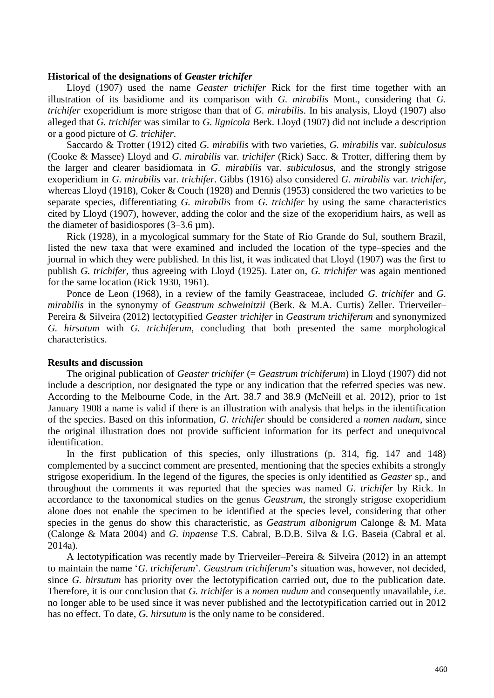#### **Historical of the designations of** *Geaster trichifer*

Lloyd (1907) used the name *Geaster trichifer* Rick for the first time together with an illustration of its basidiome and its comparison with *G. mirabilis* Mont., considering that *G. trichifer* exoperidium is more strigose than that of *G. mirabilis*. In his analysis, Lloyd (1907) also alleged that *G. trichifer* was similar to *G. lignicola* Berk. Lloyd (1907) did not include a description or a good picture of *G. trichifer*.

Saccardo & Trotter (1912) cited *G. mirabilis* with two varieties, *G. mirabilis* var. *subiculosus* (Cooke & Massee) Lloyd and *G. mirabilis* var. *trichifer* (Rick) Sacc. & Trotter, differing them by the larger and clearer basidiomata in *G. mirabilis* var. *subiculosus*, and the strongly strigose exoperidium in *G. mirabilis* var. *trichifer*. Gibbs (1916) also considered *G. mirabilis* var. *trichifer*, whereas Lloyd (1918), Coker & Couch (1928) and Dennis (1953) considered the two varieties to be separate species, differentiating *G. mirabilis* from *G. trichifer* by using the same characteristics cited by Lloyd (1907), however, adding the color and the size of the exoperidium hairs, as well as the diameter of basidiospores (3–3.6 µm).

Rick (1928), in a mycological summary for the State of Rio Grande do Sul, southern Brazil, listed the new taxa that were examined and included the location of the type–species and the journal in which they were published. In this list, it was indicated that Lloyd (1907) was the first to publish *G. trichifer*, thus agreeing with Lloyd (1925). Later on, *G. trichifer* was again mentioned for the same location (Rick 1930, 1961).

Ponce de Leon (1968), in a review of the family Geastraceae, included *G. trichifer* and *G. mirabilis* in the synonymy of *Geastrum schweinitzii* (Berk. & M.A. Curtis) Zeller. Trierveiler– Pereira & Silveira (2012) lectotypified *Geaster trichifer* in *Geastrum trichiferum* and synonymized *G. hirsutum* with *G. trichiferum*, concluding that both presented the same morphological characteristics.

#### **Results and discussion**

The original publication of *Geaster trichifer* (= *Geastrum trichiferum*) in Lloyd (1907) did not include a description, nor designated the type or any indication that the referred species was new. According to the Melbourne Code, in the Art. 38.7 and 38.9 (McNeill et al. 2012), prior to 1st January 1908 a name is valid if there is an illustration with analysis that helps in the identification of the species. Based on this information, *G. trichifer* should be considered a *nomen nudum*, since the original illustration does not provide sufficient information for its perfect and unequivocal identification.

In the first publication of this species, only illustrations (p. 314, fig. 147 and 148) complemented by a succinct comment are presented, mentioning that the species exhibits a strongly strigose exoperidium. In the legend of the figures, the species is only identified as *Geaster* sp., and throughout the comments it was reported that the species was named *G. trichifer* by Rick. In accordance to the taxonomical studies on the genus *Geastrum*, the strongly strigose exoperidium alone does not enable the specimen to be identified at the species level, considering that other species in the genus do show this characteristic, as *Geastrum albonigrum* Calonge & M. Mata (Calonge & Mata 2004) and *G. inpaense* T.S. Cabral, B.D.B. Silva & I.G. Baseia (Cabral et al. 2014a).

A lectotypification was recently made by Trierveiler–Pereira & Silveira (2012) in an attempt to maintain the name '*G. trichiferum*'. *Geastrum trichiferum*'s situation was, however, not decided, since *G. hirsutum* has priority over the lectotypification carried out, due to the publication date. Therefore, it is our conclusion that *G. trichifer* is a *nomen nudum* and consequently unavailable, *i.e*. no longer able to be used since it was never published and the lectotypification carried out in 2012 has no effect. To date, *G. hirsutum* is the only name to be considered.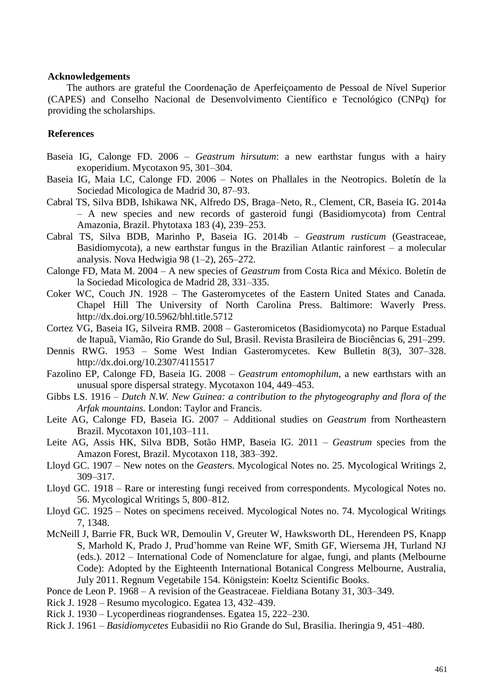#### **Acknowledgements**

The authors are grateful the Coordenação de Aperfeiçoamento de Pessoal de Nível Superior (CAPES) and Conselho Nacional de Desenvolvimento Científico e Tecnológico (CNPq) for providing the scholarships.

### **References**

- Baseia IG, Calonge FD. 2006 *Geastrum hirsutum*: a new earthstar fungus with a hairy exoperidium. Mycotaxon 95, 301–304.
- Baseia IG, Maia LC, Calonge FD. 2006 Notes on Phallales in the Neotropics. Boletín de la Sociedad Micologica de Madrid 30, 87–93.
- Cabral TS, Silva BDB, Ishikawa NK, Alfredo DS, Braga–Neto, R., Clement, CR, Baseia IG. 2014a – A new species and new records of gasteroid fungi (Basidiomycota) from Central Amazonia, Brazil. Phytotaxa 183 (4), 239–253.
- Cabral TS, Silva BDB, Marinho P, Baseia IG. 2014b *Geastrum rusticum* (Geastraceae, Basidiomycota), a new earthstar fungus in the Brazilian Atlantic rainforest – a molecular analysis. Nova Hedwigia 98 (1–2), 265–272.
- Calonge FD, Mata M. 2004 A new species of *Geastrum* from Costa Rica and México. Boletín de la Sociedad Micologica de Madrid 28, 331–335.
- Coker WC, Couch JN. 1928 The Gasteromycetes of the Eastern United States and Canada. Chapel Hill The University of North Carolina Press. Baltimore: Waverly Press. http://dx.doi.org/10.5962/bhl.title.5712
- Cortez VG, Baseia IG, Silveira RMB. 2008 Gasteromicetos (Basidiomycota) no Parque Estadual de Itapuã, Viamão, Rio Grande do Sul, Brasil. Revista Brasileira de Biociências 6, 291–299.
- Dennis RWG. 1953 Some West Indian Gasteromycetes. Kew Bulletin 8(3), 307–328. http://dx.doi.org/10.2307/4115517
- Fazolino EP, Calonge FD, Baseia IG. 2008 *Geastrum entomophilum*, a new earthstars with an unusual spore dispersal strategy. Mycotaxon 104, 449–453.
- Gibbs LS. 1916 *Dutch N.W. New Guinea: a contribution to the phytogeography and flora of the Arfak mountains.* London: Taylor and Francis.
- Leite AG, Calonge FD, Baseia IG. 2007 Additional studies on *Geastrum* from Northeastern Brazil. Mycotaxon 101,103–111.
- Leite AG, Assis HK, Silva BDB, Sotão HMP, Baseia IG. 2011 *Geastrum* species from the Amazon Forest, Brazil. Mycotaxon 118, 383–392.
- Lloyd GC. 1907 New notes on the *Geaster*s. Mycological Notes no. 25. Mycological Writings 2, 309–317.
- Lloyd GC. 1918 Rare or interesting fungi received from correspondents. Mycological Notes no. 56. Mycological Writings 5, 800–812.
- Lloyd GC. 1925 Notes on specimens received. Mycological Notes no. 74. Mycological Writings 7, 1348.
- McNeill J, Barrie FR, Buck WR, Demoulin V, Greuter W, Hawksworth DL, Herendeen PS, Knapp S, Marhold K, Prado J, Prud'homme van Reine WF, Smith GF, Wiersema JH, Turland NJ (eds.). 2012 – International Code of Nomenclature for algae, fungi, and plants (Melbourne Code): Adopted by the Eighteenth International Botanical Congress Melbourne, Australia, July 2011. Regnum Vegetabile 154. Königstein: Koeltz Scientific Books.
- Ponce de Leon P. 1968 A revision of the Geastraceae. Fieldiana Botany 31, 303–349.
- Rick J. 1928 Resumo mycologico. Egatea 13, 432–439.
- Rick J. 1930 Lycoperdineas riograndenses. Egatea 15, 222–230.
- Rick J. 1961 *Basidiomycetes* Eubasidii no Rio Grande do Sul, Brasilia. Iheringia 9, 451–480.